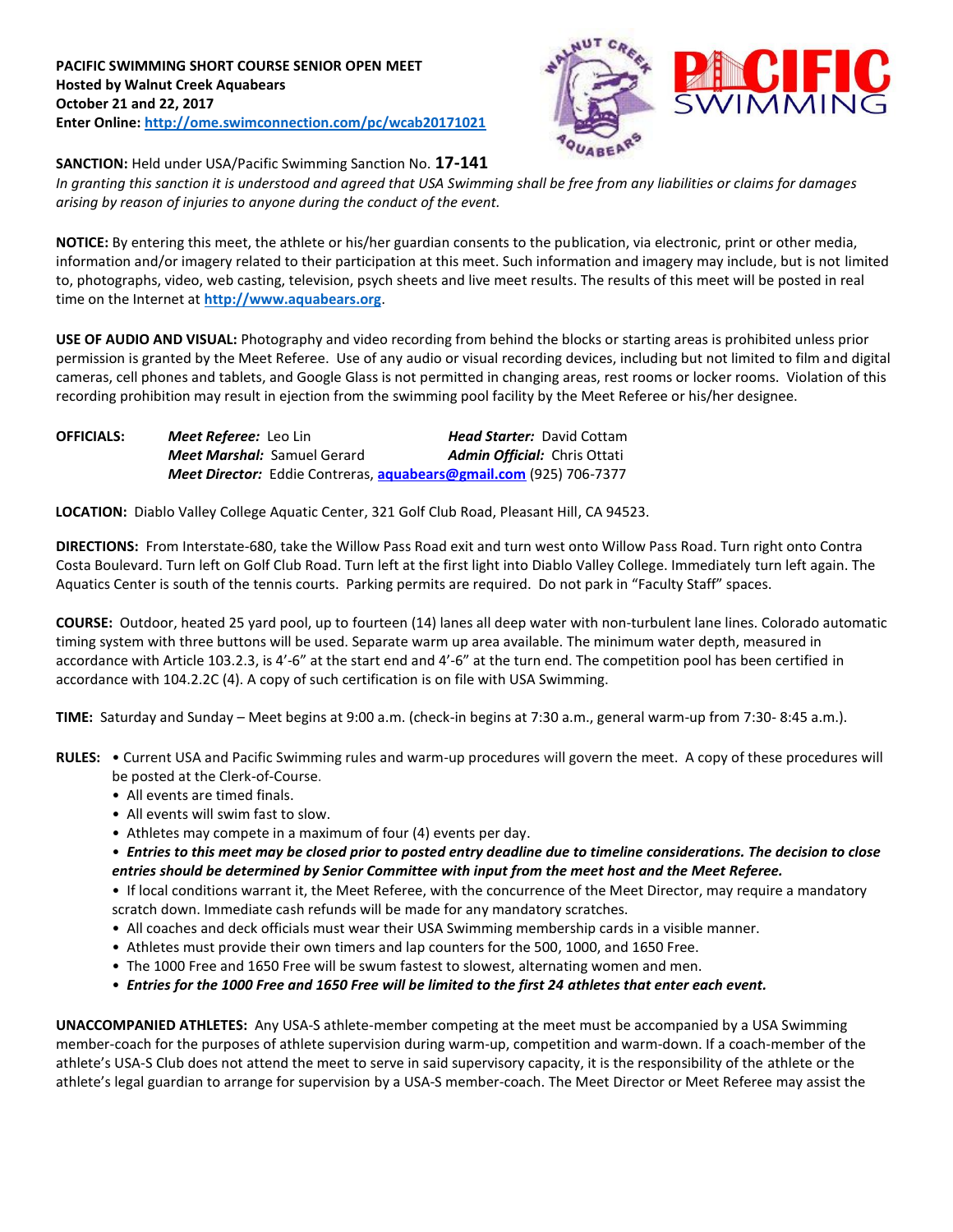

**SANCTION:** Held under USA/Pacific Swimming Sanction No. **17-141**

*In granting this sanction it is understood and agreed that USA Swimming shall be free from any liabilities or claims for damages arising by reason of injuries to anyone during the conduct of the event.*

**NOTICE:** By entering this meet, the athlete or his/her guardian consents to the publication, via electronic, print or other media, information and/or imagery related to their participation at this meet. Such information and imagery may include, but is not limited to, photographs, video, web casting, television, psych sheets and live meet results. The results of this meet will be posted in real time on the Internet at **[http://www.aquabears.org](http://www.aquabears.org/)**.

**USE OF AUDIO AND VISUAL:** Photography and video recording from behind the blocks or starting areas is prohibited unless prior permission is granted by the Meet Referee. Use of any audio or visual recording devices, including but not limited to film and digital cameras, cell phones and tablets, and Google Glass is not permitted in changing areas, rest rooms or locker rooms. Violation of this recording prohibition may result in ejection from the swimming pool facility by the Meet Referee or his/her designee.

**OFFICIALS:** *Meet Referee:* Leo Lin *Head Starter:* David Cottam *Meet Marshal: Samuel Gerard <b>Admin Official: Chris Ottati Meet Director:* Eddie Contreras, **aquabears@gmail.com** (925) 706-7377

**LOCATION:** Diablo Valley College Aquatic Center, 321 Golf Club Road, Pleasant Hill, CA 94523.

**DIRECTIONS:** From Interstate‐680, take the Willow Pass Road exit and turn west onto Willow Pass Road. Turn right onto Contra Costa Boulevard. Turn left on Golf Club Road. Turn left at the first light into Diablo Valley College. Immediately turn left again. The Aquatics Center is south of the tennis courts. Parking permits are required. Do not park in "Faculty Staff" spaces.

**COURSE:** Outdoor, heated 25 yard pool, up to fourteen (14) lanes all deep water with non‐turbulent lane lines. Colorado automatic timing system with three buttons will be used. Separate warm up area available. The minimum water depth, measured in accordance with Article 103.2.3, is 4'‐6" at the start end and 4'‐6" at the turn end. The competition pool has been certified in accordance with 104.2.2C (4). A copy of such certification is on file with USA Swimming.

**TIME:** Saturday and Sunday – Meet begins at 9:00 a.m. (check-in begins at 7:30 a.m., general warm-up from 7:30- 8:45 a.m.).

- **RULES:**  Current USA and Pacific Swimming rules and warm-up procedures will govern the meet. A copy of these procedures will be posted at the Clerk-of-Course.
	- All events are timed finals.
	- All events will swim fast to slow.
	- Athletes may compete in a maximum of four (4) events per day.

• *Entries to this meet may be closed prior to posted entry deadline due to timeline considerations. The decision to close entries should be determined by Senior Committee with input from the meet host and the Meet Referee.*

• If local conditions warrant it, the Meet Referee, with the concurrence of the Meet Director, may require a mandatory scratch down. Immediate cash refunds will be made for any mandatory scratches.

- All coaches and deck officials must wear their USA Swimming membership cards in a visible manner.
- Athletes must provide their own timers and lap counters for the 500, 1000, and 1650 Free.
- The 1000 Free and 1650 Free will be swum fastest to slowest, alternating women and men.
- *Entries for the 1000 Free and 1650 Free will be limited to the first 24 athletes that enter each event.*

**UNACCOMPANIED ATHLETES:** Any USA-S athlete-member competing at the meet must be accompanied by a USA Swimming member-coach for the purposes of athlete supervision during warm-up, competition and warm-down. If a coach-member of the athlete's USA-S Club does not attend the meet to serve in said supervisory capacity, it is the responsibility of the athlete or the athlete's legal guardian to arrange for supervision by a USA-S member-coach. The Meet Director or Meet Referee may assist the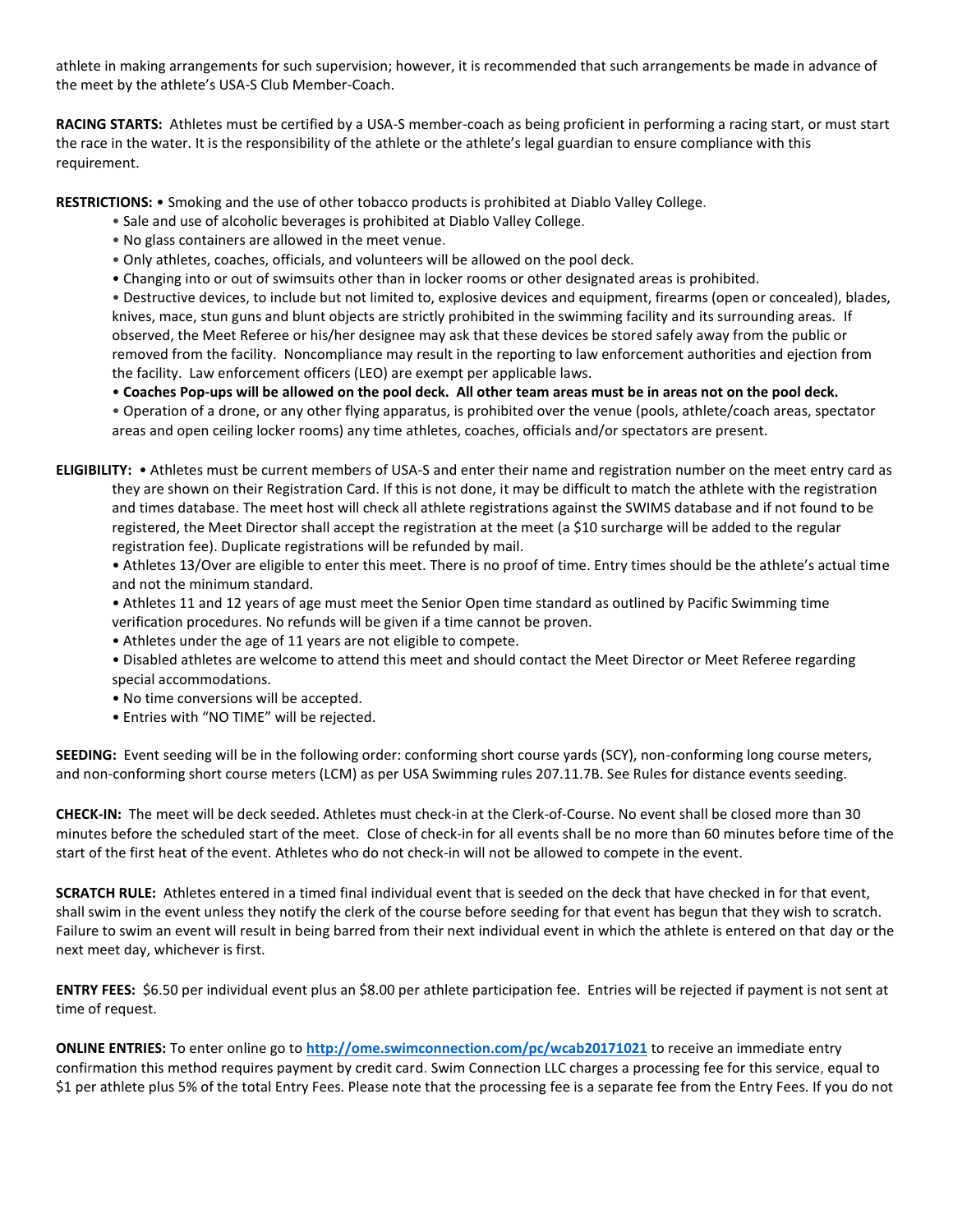athlete in making arrangements for such supervision; however, it is recommended that such arrangements be made in advance of the meet by the athlete's USA-S Club Member-Coach.

**RACING STARTS:** Athletes must be certified by a USA-S member-coach as being proficient in performing a racing start, or must start the race in the water. It is the responsibility of the athlete or the athlete's legal guardian to ensure compliance with this requirement.

**RESTRICTIONS:** • Smoking and the use of other tobacco products is prohibited at Diablo Valley College.

- Sale and use of alcoholic beverages is prohibited at Diablo Valley College.
- No glass containers are allowed in the meet venue.
- Only athletes, coaches, officials, and volunteers will be allowed on the pool deck.
- Changing into or out of swimsuits other than in locker rooms or other designated areas is prohibited.

• Destructive devices, to include but not limited to, explosive devices and equipment, firearms (open or concealed), blades, knives, mace, stun guns and blunt objects are strictly prohibited in the swimming facility and its surrounding areas. If observed, the Meet Referee or his/her designee may ask that these devices be stored safely away from the public or removed from the facility. Noncompliance may result in the reporting to law enforcement authorities and ejection from the facility. Law enforcement officers (LEO) are exempt per applicable laws.

• **Coaches Pop-ups will be allowed on the pool deck. All other team areas must be in areas not on the pool deck.** • Operation of a drone, or any other flying apparatus, is prohibited over the venue (pools, athlete/coach areas, spectator areas and open ceiling locker rooms) any time athletes, coaches, officials and/or spectators are present.

**ELIGIBILITY:** • Athletes must be current members of USA-S and enter their name and registration number on the meet entry card as they are shown on their Registration Card. If this is not done, it may be difficult to match the athlete with the registration and times database. The meet host will check all athlete registrations against the SWIMS database and if not found to be registered, the Meet Director shall accept the registration at the meet (a \$10 surcharge will be added to the regular registration fee). Duplicate registrations will be refunded by mail.

- Athletes 13/Over are eligible to enter this meet. There is no proof of time. Entry times should be the athlete's actual time and not the minimum standard.
- Athletes 11 and 12 years of age must meet the Senior Open time standard as outlined by Pacific Swimming time verification procedures. No refunds will be given if a time cannot be proven.
- Athletes under the age of 11 years are not eligible to compete.
- Disabled athletes are welcome to attend this meet and should contact the Meet Director or Meet Referee regarding special accommodations.
- No time conversions will be accepted.
- Entries with "NO TIME" will be rejected.

**SEEDING:** Event seeding will be in the following order: conforming short course yards (SCY), non-conforming long course meters, and non-conforming short course meters (LCM) as per USA Swimming rules 207.11.7B. See Rules for distance events seeding.

**CHECK-IN:** The meet will be deck seeded. Athletes must check-in at the Clerk-of-Course. No event shall be closed more than 30 minutes before the scheduled start of the meet. Close of check-in for all events shall be no more than 60 minutes before time of the start of the first heat of the event. Athletes who do not check-in will not be allowed to compete in the event.

**SCRATCH RULE:** Athletes entered in a timed final individual event that is seeded on the deck that have checked in for that event, shall swim in the event unless they notify the clerk of the course before seeding for that event has begun that they wish to scratch. Failure to swim an event will result in being barred from their next individual event in which the athlete is entered on that day or the next meet day, whichever is first.

**ENTRY FEES:** \$6.50 per individual event plus an \$8.00 per athlete participation fee. Entries will be rejected if payment is not sent at time of request.

**ONLINE ENTRIES:** To enter online go to **<http://ome.swimconnection.com/pc/wcab20171021>** to receive an immediate entry confirmation this method requires payment by credit card. Swim Connection LLC charges a processing fee for this service, equal to \$1 per athlete plus 5% of the total Entry Fees. Please note that the processing fee is a separate fee from the Entry Fees. If you do not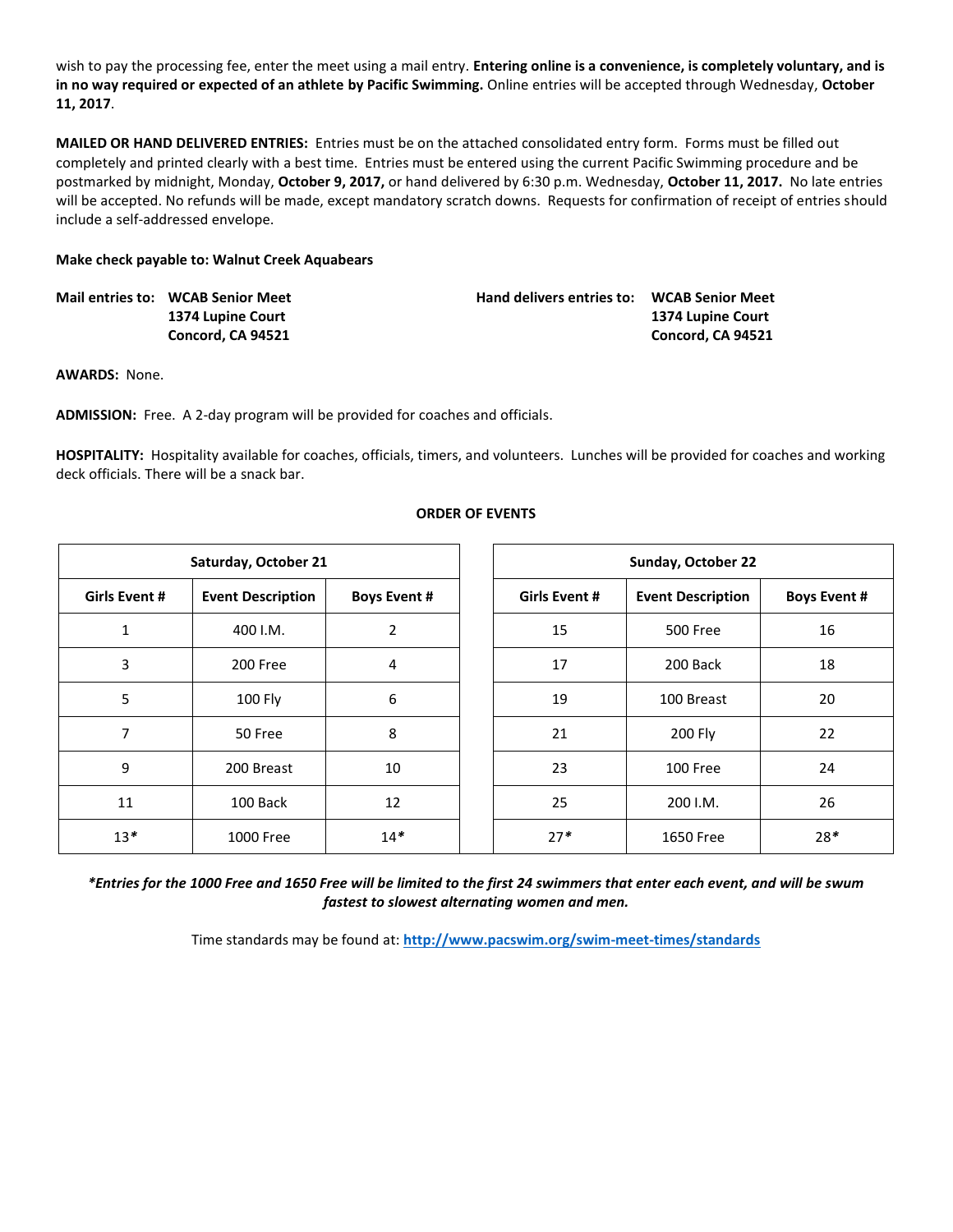wish to pay the processing fee, enter the meet using a mail entry. **Entering online is a convenience, is completely voluntary, and is in no way required or expected of an athlete by Pacific Swimming.** Online entries will be accepted through Wednesday, **October 11, 2017**.

**MAILED OR HAND DELIVERED ENTRIES:** Entries must be on the attached consolidated entry form. Forms must be filled out completely and printed clearly with a best time. Entries must be entered using the current Pacific Swimming procedure and be postmarked by midnight, Monday, **October 9, 2017,** or hand delivered by 6:30 p.m. Wednesday, **October 11, 2017.** No late entries will be accepted. No refunds will be made, except mandatory scratch downs. Requests for confirmation of receipt of entries should include a self-addressed envelope.

## **Make check payable to: Walnut Creek Aquabears**

| Mail entries to: WCAB Senior Meet | <b>Hand delivers entries to: WCAB Senior Meet</b> |                          |
|-----------------------------------|---------------------------------------------------|--------------------------|
| 1374 Lupine Court                 |                                                   | <b>1374 Lupine Court</b> |
| Concord. CA 94521                 |                                                   | Concord, CA 94521        |

**AWARDS:** None.

**ADMISSION:** Free. A 2-day program will be provided for coaches and officials.

**HOSPITALITY:** Hospitality available for coaches, officials, timers, and volunteers. Lunches will be provided for coaches and working deck officials. There will be a snack bar.

## **ORDER OF EVENTS**

| Saturday, October 21 |                          |                     |  |                      | Sunday, October 22  |     |  |  |  |
|----------------------|--------------------------|---------------------|--|----------------------|---------------------|-----|--|--|--|
| <b>Girls Event #</b> | <b>Event Description</b> | <b>Boys Event #</b> |  | <b>Girls Event #</b> | <b>Boys Event #</b> |     |  |  |  |
| 1                    | 400 I.M.                 | 2                   |  | 15                   | <b>500 Free</b>     | 16  |  |  |  |
| 3                    | 200 Free                 | 4                   |  | 17                   | 200 Back            | 18  |  |  |  |
| 5                    | 100 Fly                  | 6                   |  | 19                   | 100 Breast          | 20  |  |  |  |
| 7                    | 50 Free                  | 8                   |  | 21                   | 200 Fly             | 22  |  |  |  |
| 9                    | 200 Breast               | 10                  |  | 23                   | 100 Free            | 24  |  |  |  |
| 11                   | 100 Back                 | 12                  |  | 25                   | 200 I.M.            | 26  |  |  |  |
| $13*$                | 1000 Free                | $14*$               |  | $27*$                | 1650 Free           | 28* |  |  |  |

*\*Entries for the 1000 Free and 1650 Free will be limited to the first 24 swimmers that enter each event, and will be swum fastest to slowest alternating women and men.*

Time standards may be found at: **<http://www.pacswim.org/swim-meet-times/standards>**